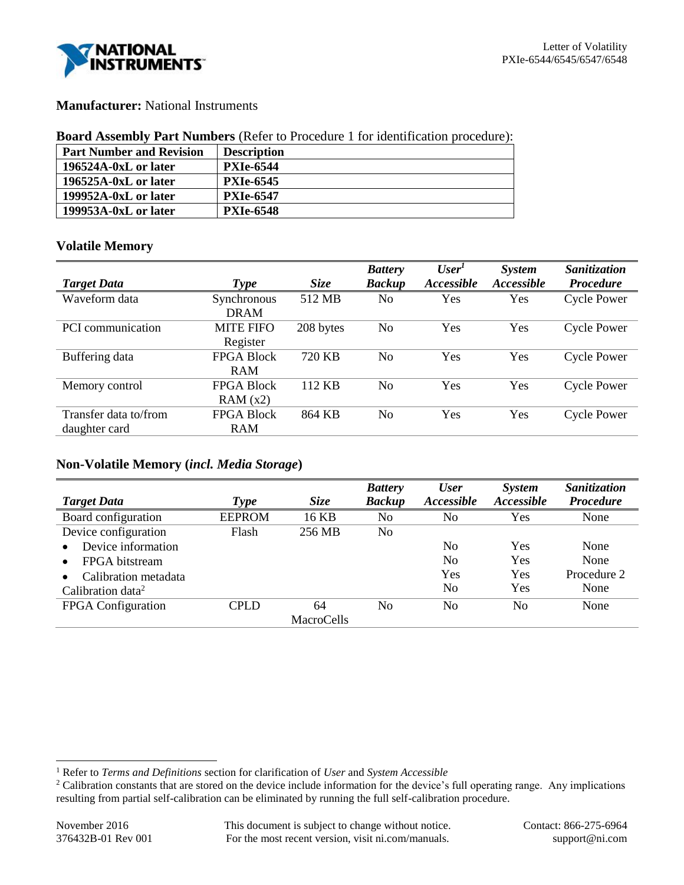

## **Manufacturer:** National Instruments

### **Board Assembly Part Numbers** (Refer to Procedure 1 for identification procedure):

| <b>Part Number and Revision</b> | <b>Description</b> |
|---------------------------------|--------------------|
| 196524A-0xL or later            | <b>PXIe-6544</b>   |
| 196525A-0xL or later            | <b>PXIe-6545</b>   |
| 199952A-0xL or later            | <b>PXIe-6547</b>   |
| 199953A-0xL or later            | <b>PXIe-6548</b>   |

## **Volatile Memory**

|                       |                   |             | <b>Battery</b> | User <sup>1</sup> | <b>System</b> | Sanitization       |
|-----------------------|-------------------|-------------|----------------|-------------------|---------------|--------------------|
| <b>Target Data</b>    | <b>Type</b>       | <b>Size</b> | <b>Backup</b>  | Accessible        | Accessible    | <b>Procedure</b>   |
| Waveform data         | Synchronous       | 512 MB      | No             | Yes               | Yes           | <b>Cycle Power</b> |
|                       | <b>DRAM</b>       |             |                |                   |               |                    |
| PCI communication     | <b>MITE FIFO</b>  | 208 bytes   | No             | Yes               | Yes           | <b>Cycle Power</b> |
|                       | Register          |             |                |                   |               |                    |
| Buffering data        | <b>FPGA Block</b> | 720 KB      | No             | Yes               | Yes           | <b>Cycle Power</b> |
|                       | <b>RAM</b>        |             |                |                   |               |                    |
| Memory control        | <b>FPGA Block</b> | 112 KB      | No             | Yes               | Yes           | <b>Cycle Power</b> |
|                       | RAM(x2)           |             |                |                   |               |                    |
| Transfer data to/from | <b>FPGA Block</b> | 864 KB      | No             | Yes               | Yes           | <b>Cycle Power</b> |
| daughter card         | <b>RAM</b>        |             |                |                   |               |                    |

# **Non-Volatile Memory (***incl. Media Storage***)**

| <b>Target Data</b>            | <b>Type</b>   | <b>Size</b>       | <b>Battery</b><br><b>Backup</b> | <b>User</b><br><i><b>Accessible</b></i> | <i>System</i><br>Accessible | Sanitization<br><b>Procedure</b> |
|-------------------------------|---------------|-------------------|---------------------------------|-----------------------------------------|-----------------------------|----------------------------------|
| Board configuration           | <b>EEPROM</b> | 16 KB             | No                              | No                                      | Yes                         | None                             |
| Device configuration          | Flash         | 256 MB            | No                              |                                         |                             |                                  |
| Device information            |               |                   |                                 | No                                      | Yes                         | None                             |
| FPGA bitstream                |               |                   |                                 | No                                      | Yes                         | None                             |
| Calibration metadata          |               |                   |                                 | Yes                                     | Yes                         | Procedure 2                      |
| Calibration data <sup>2</sup> |               |                   |                                 | No                                      | Yes                         | None                             |
| FPGA Configuration            | CPLD          | 64                | No                              | No                                      | No                          | None                             |
|                               |               | <b>MacroCells</b> |                                 |                                         |                             |                                  |

l

<sup>1</sup> Refer to *Terms and Definitions* section for clarification of *User* and *System Accessible*

<sup>&</sup>lt;sup>2</sup> Calibration constants that are stored on the device include information for the device's full operating range. Any implications resulting from partial self-calibration can be eliminated by running the full self-calibration procedure.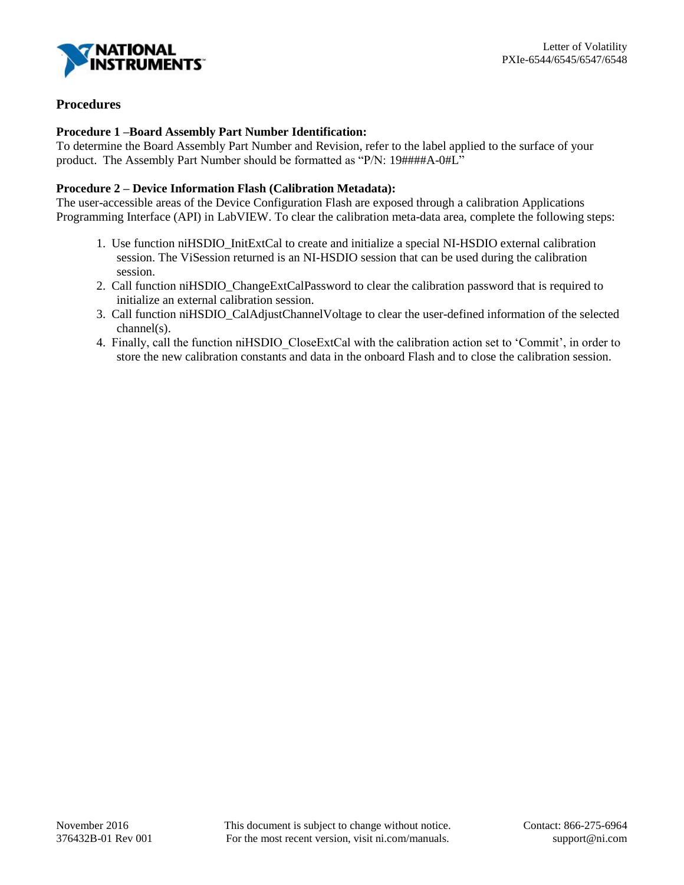

## **Procedures**

## **Procedure 1 –Board Assembly Part Number Identification:**

To determine the Board Assembly Part Number and Revision, refer to the label applied to the surface of your product. The Assembly Part Number should be formatted as "P/N: 19####A-0#L"

### **Procedure 2 – Device Information Flash (Calibration Metadata):**

The user-accessible areas of the Device Configuration Flash are exposed through a calibration Applications Programming Interface (API) in LabVIEW. To clear the calibration meta-data area, complete the following steps:

- 1. Use function niHSDIO\_InitExtCal to create and initialize a special NI-HSDIO external calibration session. The ViSession returned is an NI-HSDIO session that can be used during the calibration session.
- 2. Call function niHSDIO\_ChangeExtCalPassword to clear the calibration password that is required to initialize an external calibration session.
- 3. Call function niHSDIO\_CalAdjustChannelVoltage to clear the user-defined information of the selected channel(s).
- 4. Finally, call the function niHSDIO\_CloseExtCal with the calibration action set to 'Commit', in order to store the new calibration constants and data in the onboard Flash and to close the calibration session.